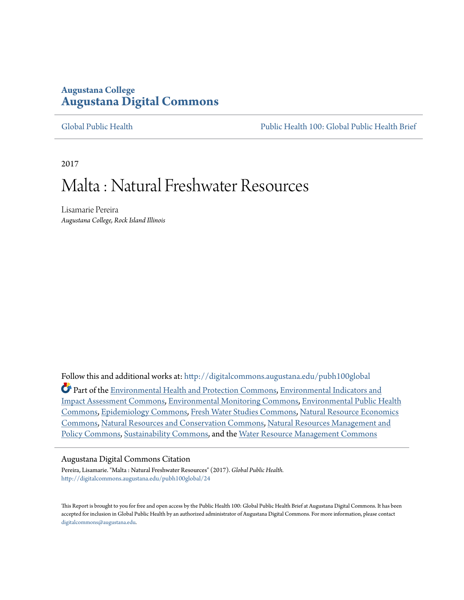## **Augustana College [Augustana Digital Commons](http://digitalcommons.augustana.edu?utm_source=digitalcommons.augustana.edu%2Fpubh100global%2F24&utm_medium=PDF&utm_campaign=PDFCoverPages)**

[Global Public Health](http://digitalcommons.augustana.edu/pubh100global?utm_source=digitalcommons.augustana.edu%2Fpubh100global%2F24&utm_medium=PDF&utm_campaign=PDFCoverPages) [Public Health 100: Global Public Health Brief](http://digitalcommons.augustana.edu/pubh100?utm_source=digitalcommons.augustana.edu%2Fpubh100global%2F24&utm_medium=PDF&utm_campaign=PDFCoverPages)

2017

# Malta : Natural Freshwater Resources

Lisamarie Pereira *Augustana College, Rock Island Illinois*

Follow this and additional works at: [http://digitalcommons.augustana.edu/pubh100global](http://digitalcommons.augustana.edu/pubh100global?utm_source=digitalcommons.augustana.edu%2Fpubh100global%2F24&utm_medium=PDF&utm_campaign=PDFCoverPages) Part of the [Environmental Health and Protection Commons,](http://network.bepress.com/hgg/discipline/172?utm_source=digitalcommons.augustana.edu%2Fpubh100global%2F24&utm_medium=PDF&utm_campaign=PDFCoverPages) [Environmental Indicators and](http://network.bepress.com/hgg/discipline/1015?utm_source=digitalcommons.augustana.edu%2Fpubh100global%2F24&utm_medium=PDF&utm_campaign=PDFCoverPages) [Impact Assessment Commons](http://network.bepress.com/hgg/discipline/1015?utm_source=digitalcommons.augustana.edu%2Fpubh100global%2F24&utm_medium=PDF&utm_campaign=PDFCoverPages), [Environmental Monitoring Commons,](http://network.bepress.com/hgg/discipline/931?utm_source=digitalcommons.augustana.edu%2Fpubh100global%2F24&utm_medium=PDF&utm_campaign=PDFCoverPages) [Environmental Public Health](http://network.bepress.com/hgg/discipline/739?utm_source=digitalcommons.augustana.edu%2Fpubh100global%2F24&utm_medium=PDF&utm_campaign=PDFCoverPages) [Commons,](http://network.bepress.com/hgg/discipline/739?utm_source=digitalcommons.augustana.edu%2Fpubh100global%2F24&utm_medium=PDF&utm_campaign=PDFCoverPages) [Epidemiology Commons](http://network.bepress.com/hgg/discipline/740?utm_source=digitalcommons.augustana.edu%2Fpubh100global%2F24&utm_medium=PDF&utm_campaign=PDFCoverPages), [Fresh Water Studies Commons](http://network.bepress.com/hgg/discipline/189?utm_source=digitalcommons.augustana.edu%2Fpubh100global%2F24&utm_medium=PDF&utm_campaign=PDFCoverPages), [Natural Resource Economics](http://network.bepress.com/hgg/discipline/169?utm_source=digitalcommons.augustana.edu%2Fpubh100global%2F24&utm_medium=PDF&utm_campaign=PDFCoverPages) [Commons,](http://network.bepress.com/hgg/discipline/169?utm_source=digitalcommons.augustana.edu%2Fpubh100global%2F24&utm_medium=PDF&utm_campaign=PDFCoverPages) [Natural Resources and Conservation Commons](http://network.bepress.com/hgg/discipline/168?utm_source=digitalcommons.augustana.edu%2Fpubh100global%2F24&utm_medium=PDF&utm_campaign=PDFCoverPages), [Natural Resources Management and](http://network.bepress.com/hgg/discipline/170?utm_source=digitalcommons.augustana.edu%2Fpubh100global%2F24&utm_medium=PDF&utm_campaign=PDFCoverPages) [Policy Commons](http://network.bepress.com/hgg/discipline/170?utm_source=digitalcommons.augustana.edu%2Fpubh100global%2F24&utm_medium=PDF&utm_campaign=PDFCoverPages), [Sustainability Commons,](http://network.bepress.com/hgg/discipline/1031?utm_source=digitalcommons.augustana.edu%2Fpubh100global%2F24&utm_medium=PDF&utm_campaign=PDFCoverPages) and the [Water Resource Management Commons](http://network.bepress.com/hgg/discipline/1057?utm_source=digitalcommons.augustana.edu%2Fpubh100global%2F24&utm_medium=PDF&utm_campaign=PDFCoverPages)

#### Augustana Digital Commons Citation

Pereira, Lisamarie. "Malta : Natural Freshwater Resources" (2017). *Global Public Health.* [http://digitalcommons.augustana.edu/pubh100global/24](http://digitalcommons.augustana.edu/pubh100global/24?utm_source=digitalcommons.augustana.edu%2Fpubh100global%2F24&utm_medium=PDF&utm_campaign=PDFCoverPages)

This Report is brought to you for free and open access by the Public Health 100: Global Public Health Brief at Augustana Digital Commons. It has been accepted for inclusion in Global Public Health by an authorized administrator of Augustana Digital Commons. For more information, please contact [digitalcommons@augustana.edu.](mailto:digitalcommons@augustana.edu)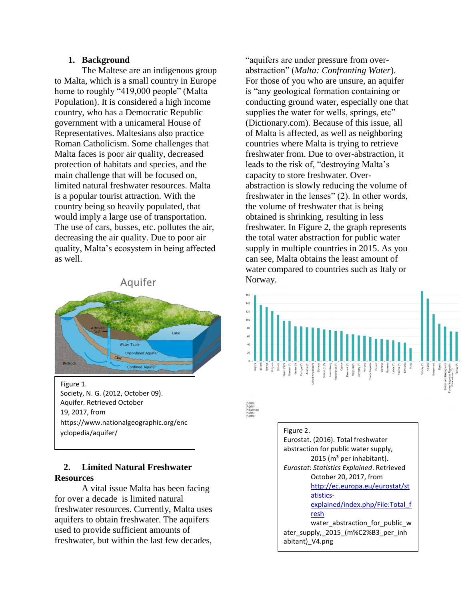#### **1. Background**

The Maltese are an indigenous group to Malta, which is a small country in Europe home to roughly "419,000 people" (Malta Population). It is considered a high income country, who has a Democratic Republic government with a unicameral House of Representatives. Maltesians also practice Roman Catholicism. Some challenges that Malta faces is poor air quality, decreased protection of habitats and species, and the main challenge that will be focused on, limited natural freshwater resources. Malta is a popular tourist attraction. With the country being so heavily populated, that would imply a large use of transportation. The use of cars, busses, etc. pollutes the air, decreasing the air quality. Due to poor air quality, Malta's ecosystem in being affected as well.



### **2. Limited Natural Freshwater Resources**

A vital issue Malta has been facing for over a decade is limited natural freshwater resources. Currently, Malta uses aquifers to obtain freshwater. The aquifers used to provide sufficient amounts of freshwater, but within the last few decades,

"aquifers are under pressure from overabstraction" (*Malta: Confronting Water*). For those of you who are unsure, an aquifer is "any geological formation containing or conducting ground water, especially one that supplies the water for wells, springs, etc" (Dictionary.com). Because of this issue, all of Malta is affected, as well as neighboring countries where Malta is trying to retrieve freshwater from. Due to over-abstraction, it leads to the risk of, "destroying Malta's capacity to store freshwater. Overabstraction is slowly reducing the volume of freshwater in the lenses" (2). In other words, the volume of freshwater that is being obtained is shrinking, resulting in less freshwater. In Figure 2, the graph represents the total water abstraction for public water supply in multiple countries in 2015. As you can see, Malta obtains the least amount of water compared to countries such as Italy or Norway.



October 20, 2017, from [http://ec.europa.eu/eurostat/st](http://ec.europa.eu/eurostat/statistics-explained/index.php/File:Total_fresh) [atistics](http://ec.europa.eu/eurostat/statistics-explained/index.php/File:Total_fresh)[explained/index.php/File:Total\\_f](http://ec.europa.eu/eurostat/statistics-explained/index.php/File:Total_fresh) [resh](http://ec.europa.eu/eurostat/statistics-explained/index.php/File:Total_fresh) water\_abstraction\_for\_public\_w ater\_supply,\_2015\_(m%C2%B3\_per\_inh

abitant) V4.png